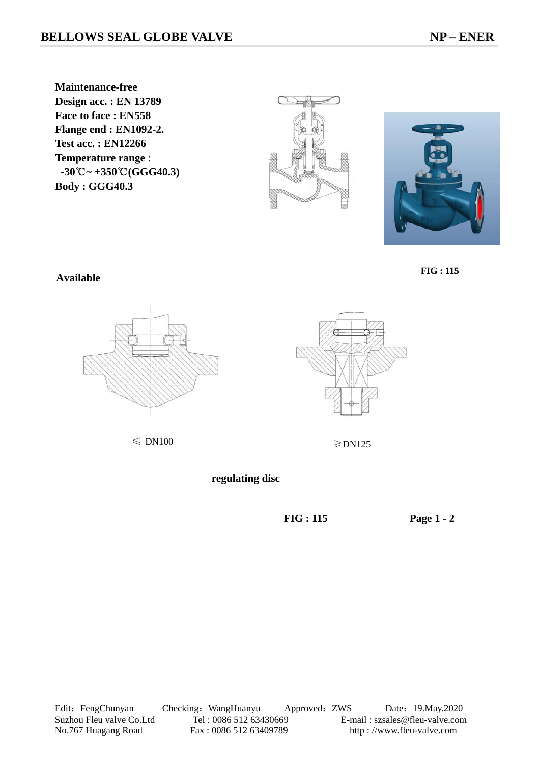**Maintenance-free Design acc. : EN 13789 Face to face : EN558 Flange end : EN1092-2. Test acc. : EN12266 Temperature range** :  **-30 ℃ ~ +350 ℃ (GGG40.3) Body : GGG40.3** 





 **FIG : 115**

**Available** 



 $\leqslant$  DN100  $\geqslant$  DN125

 **regulating disc**

 **FIG : 115 Page 1 - 2** 

Edit: FengChunyan Checking: WangHuanyu Approved: ZWS Date: 19.May.2020 Suzhou Fleu valve Co.Ltd Tel : 0086 512 63430669 E-mail : szsales@fleu-valve.com No.767 Huagang Road Fax : 0086 512 63409789 http : //www.fleu-valve.com

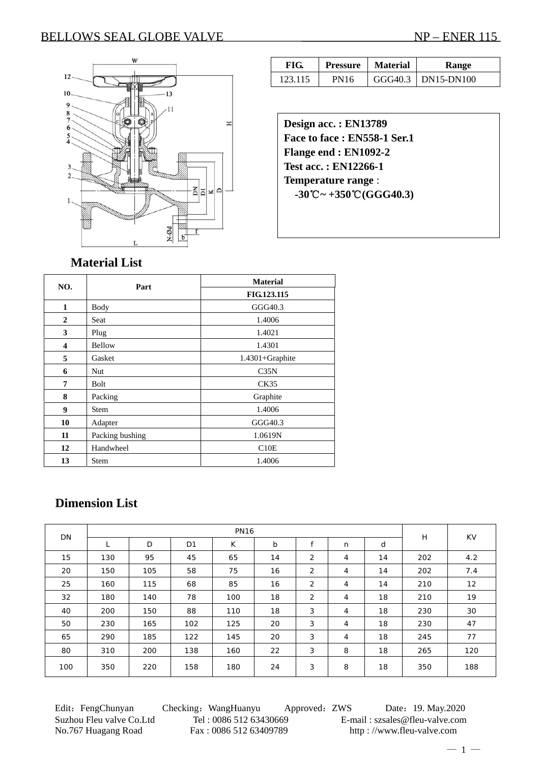### BELLOWS SEAL GLOBE VALVE NP – ENER 115



| FIG.    | <b>Pressure</b> | <b>Material</b> | Range                  |  |  |
|---------|-----------------|-----------------|------------------------|--|--|
| 123.115 | PN16            |                 | $GGG40.3$   DN15-DN100 |  |  |

**Design acc. : EN13789 Face to face : EN558-1 Ser.1 Flange end : EN1092-2 Test acc. : EN12266-1 Temperature range** :  **-30 ℃ ~ +350 ℃ (GGG40.3)** 

### **Material List**

| NO.          | Part            | <b>Material</b> |  |  |  |  |
|--------------|-----------------|-----------------|--|--|--|--|
|              |                 | FIG.123.115     |  |  |  |  |
| 1            | <b>Body</b>     | GGG40.3         |  |  |  |  |
| $\mathbf{2}$ | Seat            | 1.4006          |  |  |  |  |
| 3            | Plug            | 1.4021          |  |  |  |  |
| 4            | Bellow          | 1.4301          |  |  |  |  |
| 5            | Gasket          | 1.4301+Graphite |  |  |  |  |
| 6            | Nut             | C35N            |  |  |  |  |
| 7            | Bolt            | CK35            |  |  |  |  |
| 8            | Packing         | Graphite        |  |  |  |  |
| 9            | <b>Stem</b>     | 1.4006          |  |  |  |  |
| 10           | Adapter         | GGG40.3         |  |  |  |  |
| 11           | Packing bushing | 1.0619N         |  |  |  |  |
| 12           | Handwheel       | C10E            |  |  |  |  |
| 13           | <b>Stem</b>     | 1.4006          |  |  |  |  |

## **Dimension List**

| DN  | <b>PN16</b> |     |     |     |    |                |                |    | H   | <b>KV</b> |
|-----|-------------|-----|-----|-----|----|----------------|----------------|----|-----|-----------|
|     |             | D   | D1  | K   | b  | £              | n              | d  |     |           |
| 15  | 130         | 95  | 45  | 65  | 14 | 2              | 4              | 14 | 202 | 4.2       |
| 20  | 150         | 105 | 58  | 75  | 16 | 2              | 4              | 14 | 202 | 7.4       |
| 25  | 160         | 115 | 68  | 85  | 16 | $\overline{2}$ | $\overline{4}$ | 14 | 210 | 12        |
| 32  | 180         | 140 | 78  | 100 | 18 | $\overline{2}$ | $\overline{4}$ | 18 | 210 | 19        |
| 40  | 200         | 150 | 88  | 110 | 18 | 3              | $\overline{4}$ | 18 | 230 | 30        |
| 50  | 230         | 165 | 102 | 125 | 20 | 3              | 4              | 18 | 230 | 47        |
| 65  | 290         | 185 | 122 | 145 | 20 | 3              | 4              | 18 | 245 | 77        |
| 80  | 310         | 200 | 138 | 160 | 22 | 3              | 8              | 18 | 265 | 120       |
| 100 | 350         | 220 | 158 | 180 | 24 | 3              | 8              | 18 | 350 | 188       |

Edit: FengChunyan Checking: WangHuanyu Approved: ZWS Date: 19. May.2020 Suzhou Fleu valve Co.Ltd Tel : 0086 512 63430669 E-mail : szsales@fleu-valve.com No.767 Huagang Road Fax : 0086 512 63409789 http : //www.fleu-valve.com